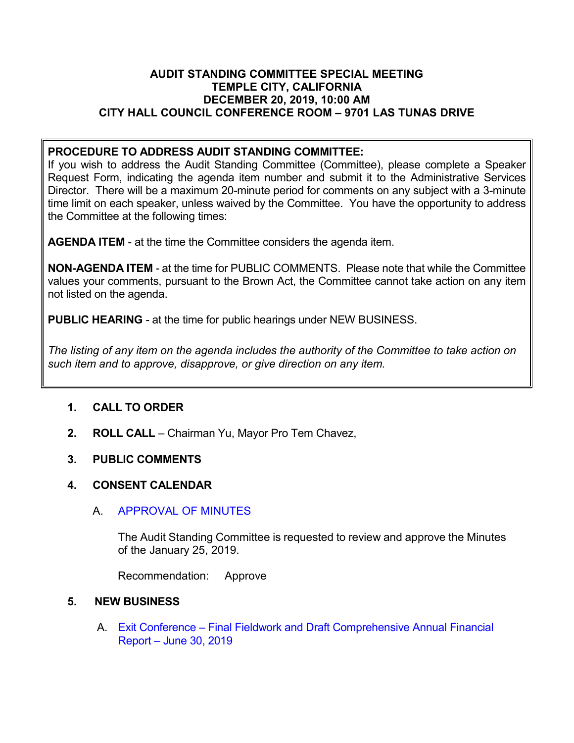### **AUDIT STANDING COMMITTEE SPECIAL MEETING TEMPLE CITY, CALIFORNIA DECEMBER 20, 2019, 10:00 AM CITY HALL COUNCIL CONFERENCE ROOM – 9701 LAS TUNAS DRIVE**

## **PROCEDURE TO ADDRESS AUDIT STANDING COMMITTEE:**

If you wish to address the Audit Standing Committee (Committee), please complete a Speaker Request Form, indicating the agenda item number and submit it to the Administrative Services Director. There will be a maximum 20-minute period for comments on any subject with a 3-minute time limit on each speaker, unless waived by the Committee. You have the opportunity to address the Committee at the following times:

**AGENDA ITEM** - at the time the Committee considers the agenda item.

**NON-AGENDA ITEM** - at the time for PUBLIC COMMENTS. Please note that while the Committee values your comments, pursuant to the Brown Act, the Committee cannot take action on any item not listed on the agenda.

**PUBLIC HEARING** - at the time for public hearings under NEW BUSINESS.

*The listing of any item on the agenda includes the authority of the Committee to take action on such item and to approve, disapprove, or give direction on any item.*

# **1. CALL TO ORDER**

**2. ROLL CALL** – Chairman Yu, Mayor Pro Tem Chavez,

### **3. PUBLIC COMMENTS**

### **4. CONSENT CALENDAR**

### A. [APPROVAL OF MINUTES](https://ca-templecity.civicplus.com/DocumentCenter/View/13583/Minutes---Audit-Standing-Committee---2019-01-25)

The Audit Standing Committee is requested to review and approve the Minutes of the January 25, 2019.

Recommendation: Approve

### **5. NEW BUSINESS**

A. Exit Conference – [Final Fieldwork and Draft Comprehensive Annual Financial](https://ca-templecity.civicplus.com/DocumentCenter/View/13585/03-5A-Comprhensive-Annual-Financial-Report-June-30-2019)  Report – [June 30, 2019](https://ca-templecity.civicplus.com/DocumentCenter/View/13585/03-5A-Comprhensive-Annual-Financial-Report-June-30-2019)